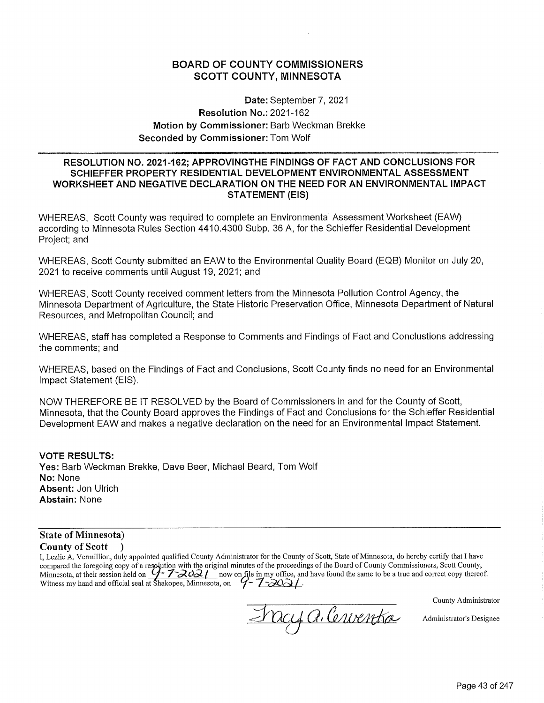# **BOARD OF COUNTY COMMISSIONERS SCOTT COUNTY, MINNESOTA**

Date: September 7, 2021 **Resolution No.: 2021-162** Motion by Commissioner: Barb Weckman Brekke Seconded by Commissioner: Tom Wolf

### RESOLUTION NO. 2021-162; APPROVINGTHE FINDINGS OF FACT AND CONCLUSIONS FOR SCHIEFFER PROPERTY RESIDENTIAL DEVELOPMENT ENVIRONMENTAL ASSESSMENT WORKSHEET AND NEGATIVE DECLARATION ON THE NEED FOR AN ENVIRONMENTAL IMPACT **STATEMENT (EIS)**

WHEREAS, Scott County was required to complete an Environmental Assessment Worksheet (EAW) according to Minnesota Rules Section 4410.4300 Subp. 36 A, for the Schieffer Residential Development Project; and

WHEREAS, Scott County submitted an EAW to the Environmental Quality Board (EQB) Monitor on July 20, 2021 to receive comments until August 19, 2021; and

WHEREAS, Scott County received comment letters from the Minnesota Pollution Control Agency, the Minnesota Department of Agriculture, the State Historic Preservation Office, Minnesota Department of Natural Resources, and Metropolitan Council; and

WHEREAS, staff has completed a Response to Comments and Findings of Fact and Conclustions addressing the comments; and

WHEREAS, based on the Findings of Fact and Conclusions, Scott County finds no need for an Environmental Impact Statement (EIS).

NOW THEREFORE BE IT RESOLVED by the Board of Commissioners in and for the County of Scott, Minnesota, that the County Board approves the Findings of Fact and Conclusions for the Schieffer Residential Development EAW and makes a negative declaration on the need for an Environmental Impact Statement.

#### **VOTE RESULTS:**

Yes: Barb Weckman Brekke, Dave Beer, Michael Beard, Tom Wolf No: None Absent: Jon Ulrich **Abstain: None** 

#### **State of Minnesota) County of Scott**

I, Lezlie A. Vermillion, duly appointed qualified County Administrator for the County of Scott, State of Minnesota, do hereby certify that I have compared the foregoing copy of a resolution with the original minutes of the proceedings of the Board of County Commissioners, Scott County,<br>Minnesota, at their session held on  $\frac{7}{2\sqrt{202}}$  now on file in my office, an

County Administrator

Fracy a. Cerventsa

Administrator's Designee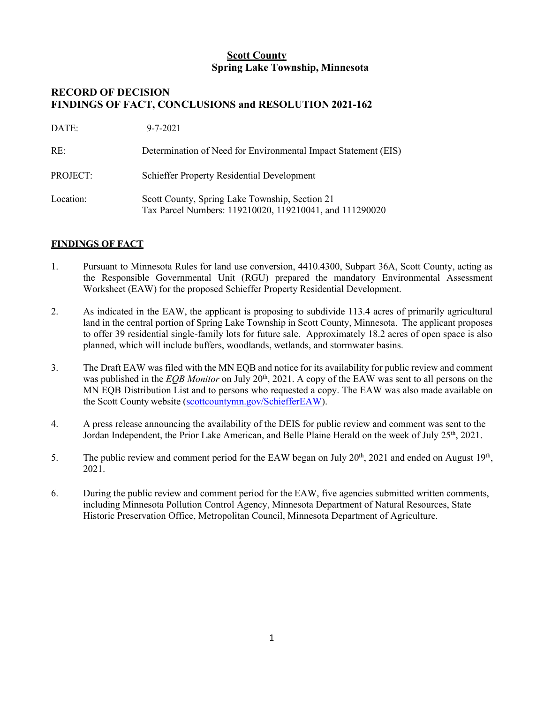# **Scott County Spring Lake Township, Minnesota**

# **RECORD OF DECISION FINDINGS OF FACT, CONCLUSIONS and RESOLUTION 2021-162**

| DATE:     | $9 - 7 - 2021$                                                                                            |
|-----------|-----------------------------------------------------------------------------------------------------------|
| RE:       | Determination of Need for Environmental Impact Statement (EIS)                                            |
| PROJECT:  | <b>Schieffer Property Residential Development</b>                                                         |
| Location: | Scott County, Spring Lake Township, Section 21<br>Tax Parcel Numbers: 119210020, 119210041, and 111290020 |

## **FINDINGS OF FACT**

- 1. Pursuant to Minnesota Rules for land use conversion, 4410.4300, Subpart 36A, Scott County, acting as the Responsible Governmental Unit (RGU) prepared the mandatory Environmental Assessment Worksheet (EAW) for the proposed Schieffer Property Residential Development.
- 2. As indicated in the EAW, the applicant is proposing to subdivide 113.4 acres of primarily agricultural land in the central portion of Spring Lake Township in Scott County, Minnesota. The applicant proposes to offer 39 residential single-family lots for future sale. Approximately 18.2 acres of open space is also planned, which will include buffers, woodlands, wetlands, and stormwater basins.
- 3. The Draft EAW was filed with the MN EQB and notice for its availability for public review and comment was published in the *EQB Monitor* on July 20<sup>th</sup>, 2021. A copy of the EAW was sent to all persons on the MN EQB Distribution List and to persons who requested a copy. The EAW was also made available on the Scott County website (scottcountymn.gov/SchiefferEAW).
- 4. A press release announcing the availability of the DEIS for public review and comment was sent to the Jordan Independent, the Prior Lake American, and Belle Plaine Herald on the week of July 25<sup>th</sup>, 2021.
- 5. The public review and comment period for the EAW began on July  $20<sup>th</sup>$ , 2021 and ended on August  $19<sup>th</sup>$ , 2021.
- 6. During the public review and comment period for the EAW, five agencies submitted written comments, including Minnesota Pollution Control Agency, Minnesota Department of Natural Resources, State Historic Preservation Office, Metropolitan Council, Minnesota Department of Agriculture.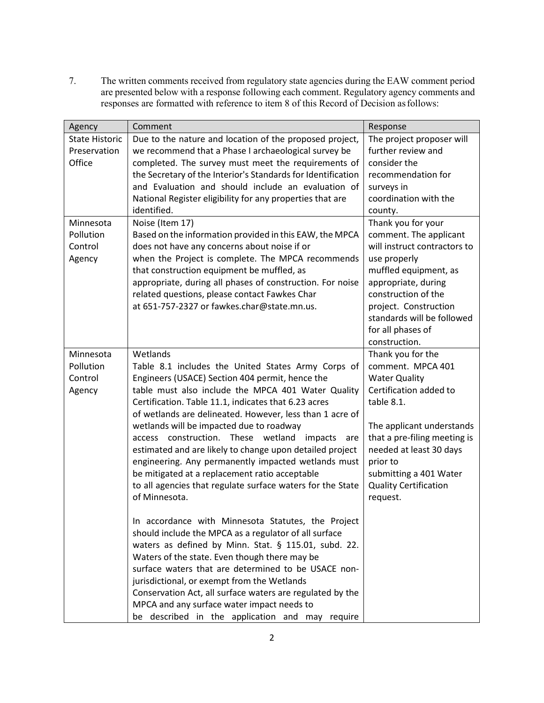7. The written comments received from regulatory state agencies during the EAW comment period are presented below with a response following each comment. Regulatory agency comments and responses are formatted with reference to item 8 of this Record of Decision as follows:

| Agency                                          | Comment                                                                                                                                                                                                                                                                                                                                                                                                                                                                                                                                                                                                                                                                                                                                                                                                                                                                                                                                                                                                                                                                                                                                               | Response                                                                                                                                                                                                                                                                         |
|-------------------------------------------------|-------------------------------------------------------------------------------------------------------------------------------------------------------------------------------------------------------------------------------------------------------------------------------------------------------------------------------------------------------------------------------------------------------------------------------------------------------------------------------------------------------------------------------------------------------------------------------------------------------------------------------------------------------------------------------------------------------------------------------------------------------------------------------------------------------------------------------------------------------------------------------------------------------------------------------------------------------------------------------------------------------------------------------------------------------------------------------------------------------------------------------------------------------|----------------------------------------------------------------------------------------------------------------------------------------------------------------------------------------------------------------------------------------------------------------------------------|
| <b>State Historic</b><br>Preservation<br>Office | Due to the nature and location of the proposed project,<br>we recommend that a Phase I archaeological survey be<br>completed. The survey must meet the requirements of<br>the Secretary of the Interior's Standards for Identification<br>and Evaluation and should include an evaluation of<br>National Register eligibility for any properties that are<br>identified.                                                                                                                                                                                                                                                                                                                                                                                                                                                                                                                                                                                                                                                                                                                                                                              | The project proposer will<br>further review and<br>consider the<br>recommendation for<br>surveys in<br>coordination with the<br>county.                                                                                                                                          |
| Minnesota<br>Pollution<br>Control<br>Agency     | Noise (Item 17)<br>Based on the information provided in this EAW, the MPCA<br>does not have any concerns about noise if or<br>when the Project is complete. The MPCA recommends<br>that construction equipment be muffled, as<br>appropriate, during all phases of construction. For noise<br>related questions, please contact Fawkes Char<br>at 651-757-2327 or fawkes.char@state.mn.us.                                                                                                                                                                                                                                                                                                                                                                                                                                                                                                                                                                                                                                                                                                                                                            | Thank you for your<br>comment. The applicant<br>will instruct contractors to<br>use properly<br>muffled equipment, as<br>appropriate, during<br>construction of the<br>project. Construction<br>standards will be followed<br>for all phases of<br>construction.                 |
| Minnesota<br>Pollution<br>Control<br>Agency     | Wetlands<br>Table 8.1 includes the United States Army Corps of<br>Engineers (USACE) Section 404 permit, hence the<br>table must also include the MPCA 401 Water Quality<br>Certification. Table 11.1, indicates that 6.23 acres<br>of wetlands are delineated. However, less than 1 acre of<br>wetlands will be impacted due to roadway<br>construction.<br>These wetland<br>impacts<br>access<br>are<br>estimated and are likely to change upon detailed project<br>engineering. Any permanently impacted wetlands must<br>be mitigated at a replacement ratio acceptable<br>to all agencies that regulate surface waters for the State<br>of Minnesota.<br>In accordance with Minnesota Statutes, the Project<br>should include the MPCA as a regulator of all surface<br>waters as defined by Minn. Stat. § 115.01, subd. 22.<br>Waters of the state. Even though there may be<br>surface waters that are determined to be USACE non-<br>jurisdictional, or exempt from the Wetlands<br>Conservation Act, all surface waters are regulated by the<br>MPCA and any surface water impact needs to<br>be described in the application and may require | Thank you for the<br>comment. MPCA 401<br><b>Water Quality</b><br>Certification added to<br>table 8.1.<br>The applicant understands<br>that a pre-filing meeting is<br>needed at least 30 days<br>prior to<br>submitting a 401 Water<br><b>Quality Certification</b><br>request. |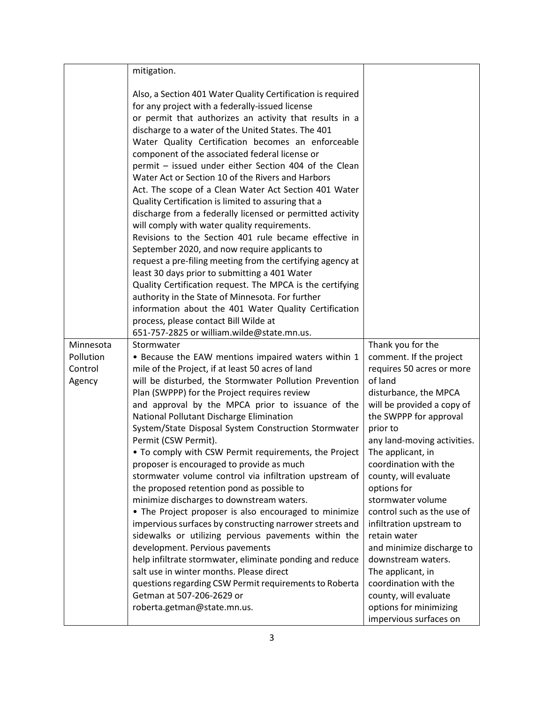|                                | mitigation.                                                                                                                                                                                                                                                                                                                                                                                                                                                                                                                                                                                                                                                                                                                                                                                                                                                                                                                                                                                                                                                                                                                                                                  |                                                                 |
|--------------------------------|------------------------------------------------------------------------------------------------------------------------------------------------------------------------------------------------------------------------------------------------------------------------------------------------------------------------------------------------------------------------------------------------------------------------------------------------------------------------------------------------------------------------------------------------------------------------------------------------------------------------------------------------------------------------------------------------------------------------------------------------------------------------------------------------------------------------------------------------------------------------------------------------------------------------------------------------------------------------------------------------------------------------------------------------------------------------------------------------------------------------------------------------------------------------------|-----------------------------------------------------------------|
|                                | Also, a Section 401 Water Quality Certification is required<br>for any project with a federally-issued license<br>or permit that authorizes an activity that results in a<br>discharge to a water of the United States. The 401<br>Water Quality Certification becomes an enforceable<br>component of the associated federal license or<br>permit - issued under either Section 404 of the Clean<br>Water Act or Section 10 of the Rivers and Harbors<br>Act. The scope of a Clean Water Act Section 401 Water<br>Quality Certification is limited to assuring that a<br>discharge from a federally licensed or permitted activity<br>will comply with water quality requirements.<br>Revisions to the Section 401 rule became effective in<br>September 2020, and now require applicants to<br>request a pre-filing meeting from the certifying agency at<br>least 30 days prior to submitting a 401 Water<br>Quality Certification request. The MPCA is the certifying<br>authority in the State of Minnesota. For further<br>information about the 401 Water Quality Certification<br>process, please contact Bill Wilde at<br>651-757-2825 or william.wilde@state.mn.us. |                                                                 |
| Minnesota                      | Stormwater                                                                                                                                                                                                                                                                                                                                                                                                                                                                                                                                                                                                                                                                                                                                                                                                                                                                                                                                                                                                                                                                                                                                                                   | Thank you for the                                               |
| Pollution<br>Control<br>Agency | • Because the EAW mentions impaired waters within 1<br>mile of the Project, if at least 50 acres of land<br>will be disturbed, the Stormwater Pollution Prevention                                                                                                                                                                                                                                                                                                                                                                                                                                                                                                                                                                                                                                                                                                                                                                                                                                                                                                                                                                                                           | comment. If the project<br>requires 50 acres or more<br>of land |
|                                | Plan (SWPPP) for the Project requires review                                                                                                                                                                                                                                                                                                                                                                                                                                                                                                                                                                                                                                                                                                                                                                                                                                                                                                                                                                                                                                                                                                                                 | disturbance, the MPCA                                           |
|                                | and approval by the MPCA prior to issuance of the<br>National Pollutant Discharge Elimination                                                                                                                                                                                                                                                                                                                                                                                                                                                                                                                                                                                                                                                                                                                                                                                                                                                                                                                                                                                                                                                                                | will be provided a copy of<br>the SWPPP for approval            |
|                                | System/State Disposal System Construction Stormwater<br>Permit (CSW Permit).                                                                                                                                                                                                                                                                                                                                                                                                                                                                                                                                                                                                                                                                                                                                                                                                                                                                                                                                                                                                                                                                                                 | prior to                                                        |
|                                | . To comply with CSW Permit requirements, the Project                                                                                                                                                                                                                                                                                                                                                                                                                                                                                                                                                                                                                                                                                                                                                                                                                                                                                                                                                                                                                                                                                                                        | any land-moving activities.<br>The applicant, in                |
|                                | proposer is encouraged to provide as much                                                                                                                                                                                                                                                                                                                                                                                                                                                                                                                                                                                                                                                                                                                                                                                                                                                                                                                                                                                                                                                                                                                                    | coordination with the                                           |
|                                | stormwater volume control via infiltration upstream of<br>the proposed retention pond as possible to                                                                                                                                                                                                                                                                                                                                                                                                                                                                                                                                                                                                                                                                                                                                                                                                                                                                                                                                                                                                                                                                         | county, will evaluate<br>options for                            |
|                                | minimize discharges to downstream waters.                                                                                                                                                                                                                                                                                                                                                                                                                                                                                                                                                                                                                                                                                                                                                                                                                                                                                                                                                                                                                                                                                                                                    | stormwater volume                                               |
|                                | • The Project proposer is also encouraged to minimize                                                                                                                                                                                                                                                                                                                                                                                                                                                                                                                                                                                                                                                                                                                                                                                                                                                                                                                                                                                                                                                                                                                        | control such as the use of                                      |
|                                | impervious surfaces by constructing narrower streets and<br>sidewalks or utilizing pervious pavements within the                                                                                                                                                                                                                                                                                                                                                                                                                                                                                                                                                                                                                                                                                                                                                                                                                                                                                                                                                                                                                                                             | infiltration upstream to<br>retain water                        |
|                                | development. Pervious pavements                                                                                                                                                                                                                                                                                                                                                                                                                                                                                                                                                                                                                                                                                                                                                                                                                                                                                                                                                                                                                                                                                                                                              | and minimize discharge to                                       |
|                                | help infiltrate stormwater, eliminate ponding and reduce                                                                                                                                                                                                                                                                                                                                                                                                                                                                                                                                                                                                                                                                                                                                                                                                                                                                                                                                                                                                                                                                                                                     | downstream waters.                                              |
|                                | salt use in winter months. Please direct                                                                                                                                                                                                                                                                                                                                                                                                                                                                                                                                                                                                                                                                                                                                                                                                                                                                                                                                                                                                                                                                                                                                     | The applicant, in                                               |
|                                | questions regarding CSW Permit requirements to Roberta<br>Getman at 507-206-2629 or                                                                                                                                                                                                                                                                                                                                                                                                                                                                                                                                                                                                                                                                                                                                                                                                                                                                                                                                                                                                                                                                                          | coordination with the<br>county, will evaluate                  |
|                                | roberta.getman@state.mn.us.                                                                                                                                                                                                                                                                                                                                                                                                                                                                                                                                                                                                                                                                                                                                                                                                                                                                                                                                                                                                                                                                                                                                                  | options for minimizing                                          |
|                                |                                                                                                                                                                                                                                                                                                                                                                                                                                                                                                                                                                                                                                                                                                                                                                                                                                                                                                                                                                                                                                                                                                                                                                              | impervious surfaces on                                          |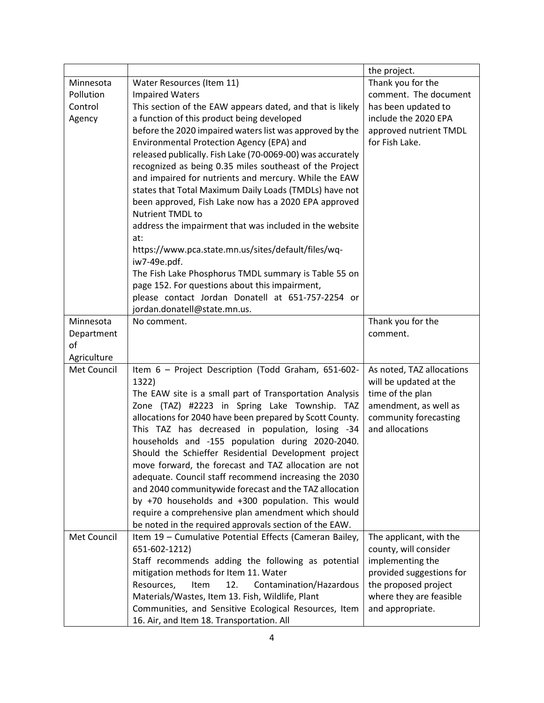|                    |                                                                     | the project.              |
|--------------------|---------------------------------------------------------------------|---------------------------|
| Minnesota          | Water Resources (Item 11)                                           | Thank you for the         |
| Pollution          | <b>Impaired Waters</b>                                              | comment. The document     |
| Control            | This section of the EAW appears dated, and that is likely           | has been updated to       |
| Agency             | a function of this product being developed                          | include the 2020 EPA      |
|                    | before the 2020 impaired waters list was approved by the            | approved nutrient TMDL    |
|                    | Environmental Protection Agency (EPA) and                           | for Fish Lake.            |
|                    | released publically. Fish Lake (70-0069-00) was accurately          |                           |
|                    | recognized as being 0.35 miles southeast of the Project             |                           |
|                    | and impaired for nutrients and mercury. While the EAW               |                           |
|                    | states that Total Maximum Daily Loads (TMDLs) have not              |                           |
|                    | been approved, Fish Lake now has a 2020 EPA approved                |                           |
|                    | Nutrient TMDL to                                                    |                           |
|                    | address the impairment that was included in the website             |                           |
|                    | at:                                                                 |                           |
|                    | https://www.pca.state.mn.us/sites/default/files/wq-<br>iw7-49e.pdf. |                           |
|                    | The Fish Lake Phosphorus TMDL summary is Table 55 on                |                           |
|                    | page 152. For questions about this impairment,                      |                           |
|                    | please contact Jordan Donatell at 651-757-2254 or                   |                           |
|                    | jordan.donatell@state.mn.us.                                        |                           |
| Minnesota          | No comment.                                                         | Thank you for the         |
| Department         |                                                                     | comment.                  |
| of                 |                                                                     |                           |
| Agriculture        |                                                                     |                           |
| Met Council        | Item 6 - Project Description (Todd Graham, 651-602-                 | As noted, TAZ allocations |
|                    | 1322)                                                               | will be updated at the    |
|                    | The EAW site is a small part of Transportation Analysis             | time of the plan          |
|                    | Zone (TAZ) #2223 in Spring Lake Township. TAZ                       | amendment, as well as     |
|                    | allocations for 2040 have been prepared by Scott County.            | community forecasting     |
|                    | This TAZ has decreased in population, losing -34                    | and allocations           |
|                    | households and -155 population during 2020-2040.                    |                           |
|                    | Should the Schieffer Residential Development project                |                           |
|                    | move forward, the forecast and TAZ allocation are not               |                           |
|                    | adequate. Council staff recommend increasing the 2030               |                           |
|                    | and 2040 communitywide forecast and the TAZ allocation              |                           |
|                    | by +70 households and +300 population. This would                   |                           |
|                    | require a comprehensive plan amendment which should                 |                           |
|                    | be noted in the required approvals section of the EAW.              |                           |
| <b>Met Council</b> | Item 19 - Cumulative Potential Effects (Cameran Bailey,             | The applicant, with the   |
|                    | 651-602-1212)                                                       | county, will consider     |
|                    | Staff recommends adding the following as potential                  | implementing the          |
|                    | mitigation methods for Item 11. Water                               | provided suggestions for  |
|                    | Contamination/Hazardous<br>Resources,<br>12.<br>Item                | the proposed project      |
|                    | Materials/Wastes, Item 13. Fish, Wildlife, Plant                    | where they are feasible   |
|                    | Communities, and Sensitive Ecological Resources, Item               | and appropriate.          |
|                    | 16. Air, and Item 18. Transportation. All                           |                           |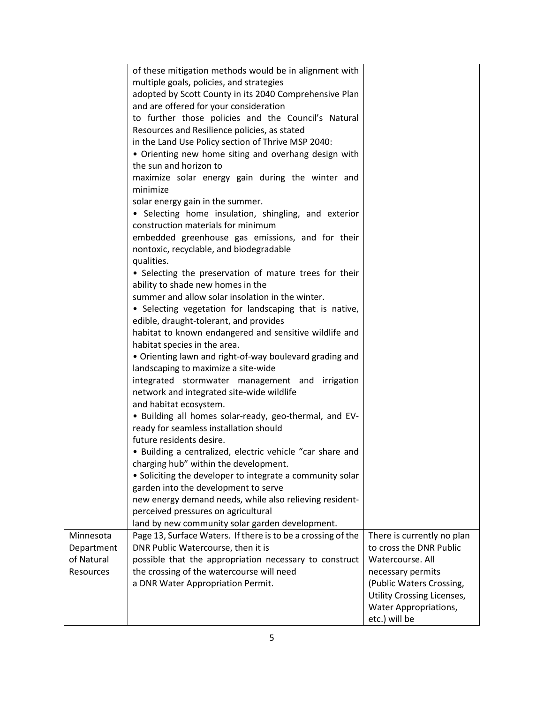|            | of these mitigation methods would be in alignment with                                           |                            |
|------------|--------------------------------------------------------------------------------------------------|----------------------------|
|            | multiple goals, policies, and strategies                                                         |                            |
|            | adopted by Scott County in its 2040 Comprehensive Plan                                           |                            |
|            | and are offered for your consideration                                                           |                            |
|            | to further those policies and the Council's Natural                                              |                            |
|            | Resources and Resilience policies, as stated                                                     |                            |
|            | in the Land Use Policy section of Thrive MSP 2040:                                               |                            |
|            | • Orienting new home siting and overhang design with                                             |                            |
|            | the sun and horizon to                                                                           |                            |
|            | maximize solar energy gain during the winter and                                                 |                            |
|            | minimize                                                                                         |                            |
|            | solar energy gain in the summer.                                                                 |                            |
|            | • Selecting home insulation, shingling, and exterior                                             |                            |
|            | construction materials for minimum                                                               |                            |
|            | embedded greenhouse gas emissions, and for their                                                 |                            |
|            | nontoxic, recyclable, and biodegradable                                                          |                            |
|            | qualities.                                                                                       |                            |
|            | • Selecting the preservation of mature trees for their                                           |                            |
|            | ability to shade new homes in the                                                                |                            |
|            | summer and allow solar insolation in the winter.                                                 |                            |
|            | • Selecting vegetation for landscaping that is native,                                           |                            |
|            | edible, draught-tolerant, and provides                                                           |                            |
|            | habitat to known endangered and sensitive wildlife and                                           |                            |
|            | habitat species in the area.                                                                     |                            |
|            | • Orienting lawn and right-of-way boulevard grading and                                          |                            |
|            | landscaping to maximize a site-wide                                                              |                            |
|            | integrated stormwater management and irrigation                                                  |                            |
|            | network and integrated site-wide wildlife                                                        |                            |
|            | and habitat ecosystem.                                                                           |                            |
|            | . Building all homes solar-ready, geo-thermal, and EV-<br>ready for seamless installation should |                            |
|            | future residents desire.                                                                         |                            |
|            | • Building a centralized, electric vehicle "car share and                                        |                            |
|            | charging hub" within the development.                                                            |                            |
|            | • Soliciting the developer to integrate a community solar                                        |                            |
|            | garden into the development to serve                                                             |                            |
|            | new energy demand needs, while also relieving resident-                                          |                            |
|            | perceived pressures on agricultural                                                              |                            |
|            | land by new community solar garden development.                                                  |                            |
| Minnesota  | Page 13, Surface Waters. If there is to be a crossing of the                                     | There is currently no plan |
| Department | DNR Public Watercourse, then it is                                                               | to cross the DNR Public    |
| of Natural | possible that the appropriation necessary to construct                                           | Watercourse. All           |
| Resources  | the crossing of the watercourse will need                                                        | necessary permits          |
|            | a DNR Water Appropriation Permit.                                                                | (Public Waters Crossing,   |
|            |                                                                                                  | Utility Crossing Licenses, |
|            |                                                                                                  | Water Appropriations,      |
|            |                                                                                                  | etc.) will be              |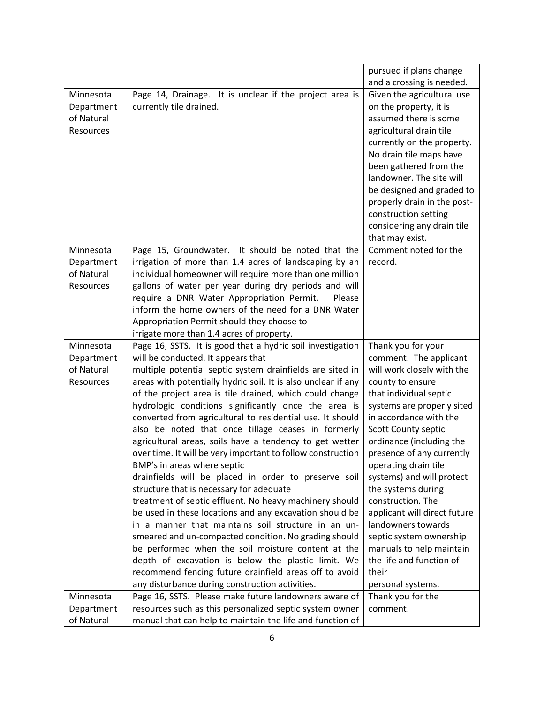|            |                                                               | pursued if plans change      |
|------------|---------------------------------------------------------------|------------------------------|
|            |                                                               | and a crossing is needed.    |
| Minnesota  | Page 14, Drainage. It is unclear if the project area is       | Given the agricultural use   |
| Department | currently tile drained.                                       | on the property, it is       |
| of Natural |                                                               | assumed there is some        |
| Resources  |                                                               | agricultural drain tile      |
|            |                                                               | currently on the property.   |
|            |                                                               | No drain tile maps have      |
|            |                                                               | been gathered from the       |
|            |                                                               | landowner. The site will     |
|            |                                                               | be designed and graded to    |
|            |                                                               | properly drain in the post-  |
|            |                                                               | construction setting         |
|            |                                                               | considering any drain tile   |
|            |                                                               | that may exist.              |
| Minnesota  | Page 15, Groundwater. It should be noted that the             | Comment noted for the        |
| Department | irrigation of more than 1.4 acres of landscaping by an        | record.                      |
| of Natural | individual homeowner will require more than one million       |                              |
| Resources  | gallons of water per year during dry periods and will         |                              |
|            | require a DNR Water Appropriation Permit.<br>Please           |                              |
|            | inform the home owners of the need for a DNR Water            |                              |
|            | Appropriation Permit should they choose to                    |                              |
|            | irrigate more than 1.4 acres of property.                     |                              |
| Minnesota  | Page 16, SSTS. It is good that a hydric soil investigation    | Thank you for your           |
| Department | will be conducted. It appears that                            | comment. The applicant       |
| of Natural | multiple potential septic system drainfields are sited in     | will work closely with the   |
| Resources  | areas with potentially hydric soil. It is also unclear if any | county to ensure             |
|            | of the project area is tile drained, which could change       | that individual septic       |
|            | hydrologic conditions significantly once the area is          | systems are properly sited   |
|            | converted from agricultural to residential use. It should     | in accordance with the       |
|            | also be noted that once tillage ceases in formerly            | Scott County septic          |
|            | agricultural areas, soils have a tendency to get wetter       | ordinance (including the     |
|            | over time. It will be very important to follow construction   | presence of any currently    |
|            | BMP's in areas where septic                                   | operating drain tile         |
|            | drainfields will be placed in order to preserve soil          | systems) and will protect    |
|            | structure that is necessary for adequate                      | the systems during           |
|            | treatment of septic effluent. No heavy machinery should       | construction. The            |
|            | be used in these locations and any excavation should be       | applicant will direct future |
|            | in a manner that maintains soil structure in an un-           | landowners towards           |
|            | smeared and un-compacted condition. No grading should         | septic system ownership      |
|            | be performed when the soil moisture content at the            | manuals to help maintain     |
|            | depth of excavation is below the plastic limit. We            | the life and function of     |
|            | recommend fencing future drainfield areas off to avoid        | their                        |
|            | any disturbance during construction activities.               | personal systems.            |
| Minnesota  | Page 16, SSTS. Please make future landowners aware of         | Thank you for the            |
| Department | resources such as this personalized septic system owner       | comment.                     |
| of Natural | manual that can help to maintain the life and function of     |                              |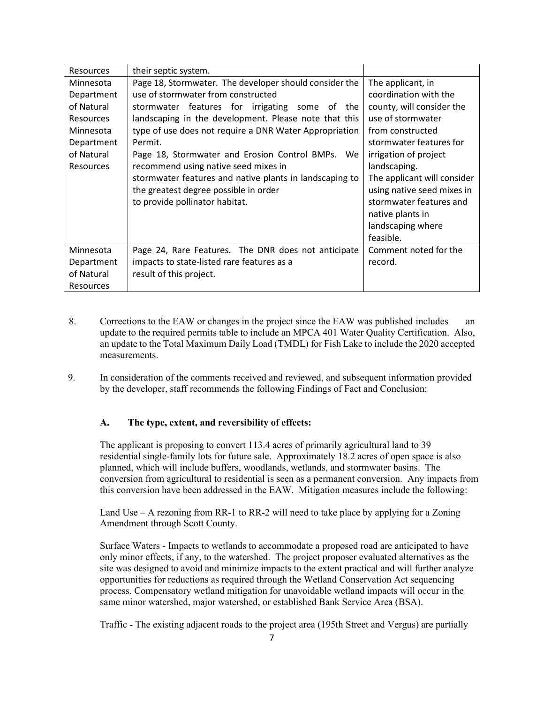| <b>Resources</b> | their septic system.                                    |                             |
|------------------|---------------------------------------------------------|-----------------------------|
| Minnesota        | Page 18, Stormwater. The developer should consider the  | The applicant, in           |
| Department       | use of stormwater from constructed                      | coordination with the       |
| of Natural       | stormwater features for irrigating some of the          | county, will consider the   |
| <b>Resources</b> | landscaping in the development. Please note that this   | use of stormwater           |
| Minnesota        | type of use does not require a DNR Water Appropriation  | from constructed            |
| Department       | Permit.                                                 | stormwater features for     |
| of Natural       | Page 18, Stormwater and Erosion Control BMPs. We        | irrigation of project       |
| <b>Resources</b> | recommend using native seed mixes in                    | landscaping.                |
|                  | stormwater features and native plants in landscaping to | The applicant will consider |
|                  | the greatest degree possible in order                   | using native seed mixes in  |
|                  | to provide pollinator habitat.                          | stormwater features and     |
|                  |                                                         | native plants in            |
|                  |                                                         | landscaping where           |
|                  |                                                         | feasible.                   |
| Minnesota        | Page 24, Rare Features. The DNR does not anticipate     | Comment noted for the       |
| Department       | impacts to state-listed rare features as a              | record.                     |
| of Natural       | result of this project.                                 |                             |
| <b>Resources</b> |                                                         |                             |

- 8. Corrections to the EAW or changes in the project since the EAW was published includes an update to the required permits table to include an MPCA 401 Water Quality Certification. Also, an update to the Total Maximum Daily Load (TMDL) for Fish Lake to include the 2020 accepted measurements.
- 9. In consideration of the comments received and reviewed, and subsequent information provided by the developer, staff recommends the following Findings of Fact and Conclusion:

### **A. The type, extent, and reversibility of effects:**

The applicant is proposing to convert 113.4 acres of primarily agricultural land to 39 residential single-family lots for future sale. Approximately 18.2 acres of open space is also planned, which will include buffers, woodlands, wetlands, and stormwater basins. The conversion from agricultural to residential is seen as a permanent conversion. Any impacts from this conversion have been addressed in the EAW. Mitigation measures include the following:

Land Use – A rezoning from RR-1 to RR-2 will need to take place by applying for a Zoning Amendment through Scott County.

Surface Waters - Impacts to wetlands to accommodate a proposed road are anticipated to have only minor effects, if any, to the watershed. The project proposer evaluated alternatives as the site was designed to avoid and minimize impacts to the extent practical and will further analyze opportunities for reductions as required through the Wetland Conservation Act sequencing process. Compensatory wetland mitigation for unavoidable wetland impacts will occur in the same minor watershed, major watershed, or established Bank Service Area (BSA).

Traffic - The existing adjacent roads to the project area (195th Street and Vergus) are partially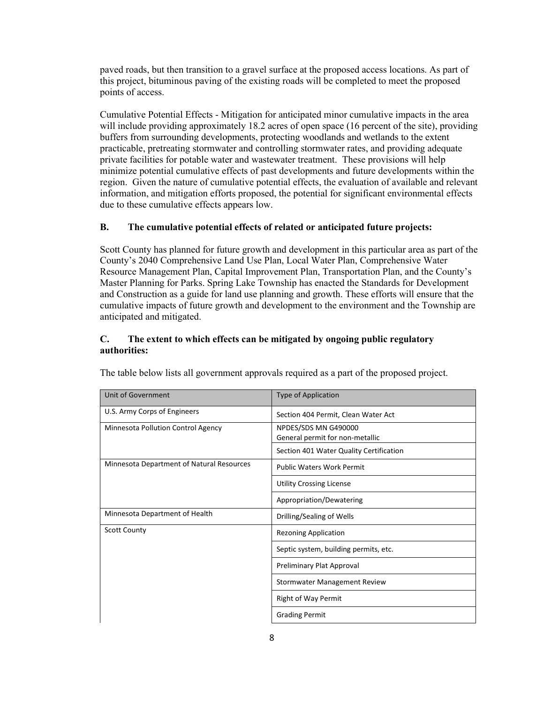paved roads, but then transition to a gravel surface at the proposed access locations. As part of this project, bituminous paving of the existing roads will be completed to meet the proposed points of access.

Cumulative Potential Effects - Mitigation for anticipated minor cumulative impacts in the area will include providing approximately 18.2 acres of open space (16 percent of the site), providing buffers from surrounding developments, protecting woodlands and wetlands to the extent practicable, pretreating stormwater and controlling stormwater rates, and providing adequate private facilities for potable water and wastewater treatment. These provisions will help minimize potential cumulative effects of past developments and future developments within the region. Given the nature of cumulative potential effects, the evaluation of available and relevant information, and mitigation efforts proposed, the potential for significant environmental effects due to these cumulative effects appears low.

### **B. The cumulative potential effects of related or anticipated future projects:**

Scott County has planned for future growth and development in this particular area as part of the County's 2040 Comprehensive Land Use Plan, Local Water Plan, Comprehensive Water Resource Management Plan, Capital Improvement Plan, Transportation Plan, and the County's Master Planning for Parks. Spring Lake Township has enacted the Standards for Development and Construction as a guide for land use planning and growth. These efforts will ensure that the cumulative impacts of future growth and development to the environment and the Township are anticipated and mitigated.

#### **C. The extent to which effects can be mitigated by ongoing public regulatory authorities:**

| Unit of Government                        | <b>Type of Application</b>                              |
|-------------------------------------------|---------------------------------------------------------|
| U.S. Army Corps of Engineers              | Section 404 Permit, Clean Water Act                     |
| Minnesota Pollution Control Agency        | NPDES/SDS MN G490000<br>General permit for non-metallic |
|                                           | Section 401 Water Quality Certification                 |
| Minnesota Department of Natural Resources | <b>Public Waters Work Permit</b>                        |
|                                           | <b>Utility Crossing License</b>                         |
|                                           | Appropriation/Dewatering                                |
| Minnesota Department of Health            | Drilling/Sealing of Wells                               |
| <b>Scott County</b>                       | <b>Rezoning Application</b>                             |
|                                           | Septic system, building permits, etc.                   |
|                                           | Preliminary Plat Approval                               |
|                                           | Stormwater Management Review                            |
|                                           | <b>Right of Way Permit</b>                              |
|                                           | <b>Grading Permit</b>                                   |

The table below lists all government approvals required as a part of the proposed project.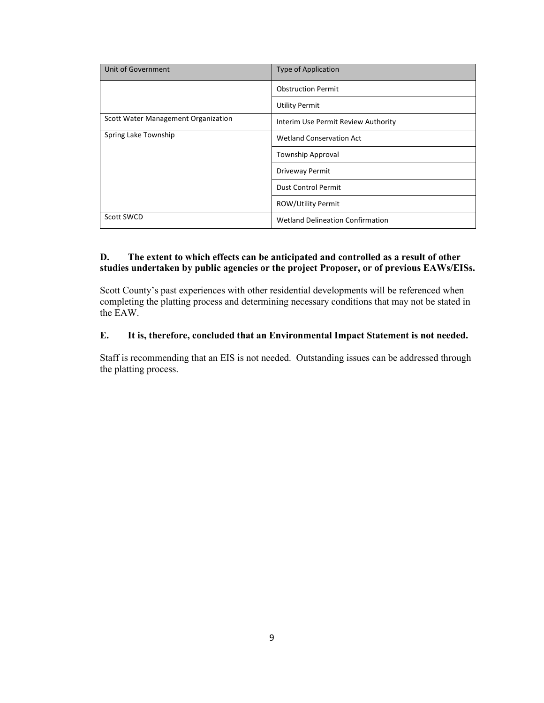| Unit of Government                  | Type of Application                     |
|-------------------------------------|-----------------------------------------|
|                                     | <b>Obstruction Permit</b>               |
|                                     | <b>Utility Permit</b>                   |
| Scott Water Management Organization | Interim Use Permit Review Authority     |
| Spring Lake Township                | <b>Wetland Conservation Act</b>         |
|                                     | <b>Township Approval</b>                |
|                                     | Driveway Permit                         |
|                                     | <b>Dust Control Permit</b>              |
|                                     | <b>ROW/Utility Permit</b>               |
| Scott SWCD                          | <b>Wetland Delineation Confirmation</b> |

## **D. The extent to which effects can be anticipated and controlled as a result of other studies undertaken by public agencies or the project Proposer, or of previous EAWs/EISs.**

Scott County's past experiences with other residential developments will be referenced when completing the platting process and determining necessary conditions that may not be stated in the EAW.

### **E. It is, therefore, concluded that an Environmental Impact Statement is not needed.**

Staff is recommending that an EIS is not needed. Outstanding issues can be addressed through the platting process.